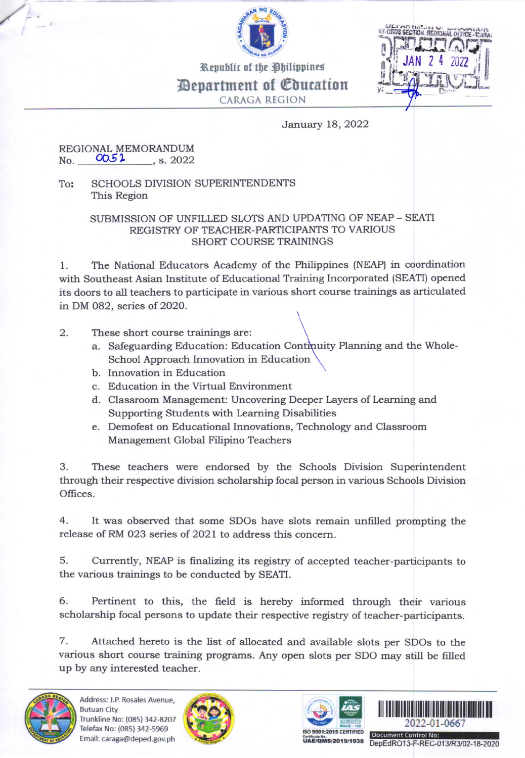

Republic of the Philippines Bepartment of *Coucation* 

CARAGA REGION



January 18, 2022

## REGIONAL MEMORANDUM  $N_{\rm O}$ .  $0051$ . , s.2022

To: SCHOOLS DIVISION SUPERINTENDENTS This Region

## SUBMISSION OF UNFILLED SLOTS AND UPDATING OF NEAP - SEATI REGISTRY OF TEACHER\_PARTICIPANTS TO VARIOUS SHORT COURSE TRAININGS

1. The National Educators Academy of the Philippines (NEAP) in coordination with Southeast Asian Institute of Educational Training Incorporated (SEATI) opened its doors to all teachers to participate in various short course trainings as articulated in DM 082, series of 2020.

- 2. These short course trainings are:
	- a. Safeguarding Education: Education Continuity Planning and the Whole-School Approach Innovation in Education
	- b. Innovation in Education
	- c. Education in the Virtual Environment
	- d. Classroom Management: Uncovering Deeper Layers of Learning and Supporting Students with Learning Disabilities
	- e. Demofest on Educational Innovations, Technology and Classroom Management Global Filipino Teachers

3. These teachers were endorsed by the Schools Division Superintendent through their respective division scholarship focal person in various Schools Division Offices.

4. It was observed that some SDOs have slots remain unfilled prompting the release of RM 023 series of 2021 to address this concern.

5. Currently, NEAP is finalizing its registry of accepted teacher-participants to the various trainings to be conducted by SEATI.

6. Pertinent to this, the field is hereby informed through their various scholarship focal persons to update their respective registry of teacher-participants.

7. Attached hereto is the list of allocated and available slots per SDOs to the various short course training programs. Any open slots per SDO may still be frlled up by any interested teacher.







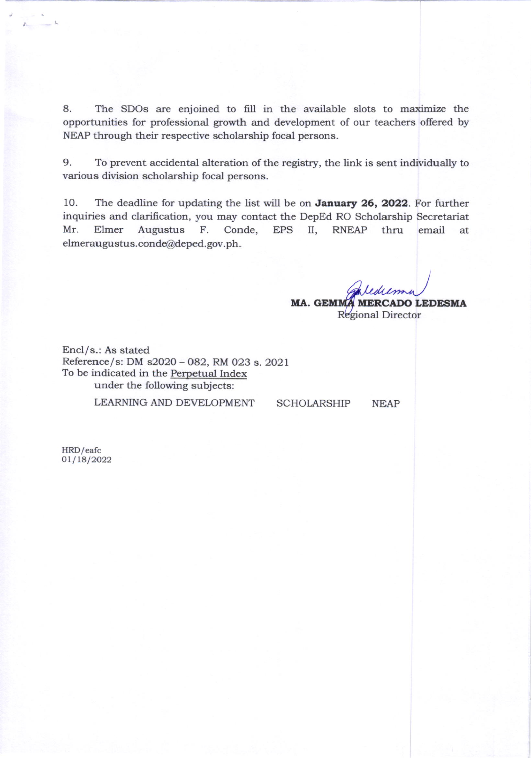8. The SDOs are enjoined to fill in the available slots to maximize the opportunities for professional growth and development of our teachers offered by NEAP through their respective scholarship focal persons.

9. To prevent accidental alteration of the registry, the link is sent individually to various division scholarship focal persons.

10. The deadline for updating the list will be on **January 26, 2022**. For further inquiries and clarification, you may contact the DepEd RO Scholarship Secretariat Mr. Elmer Augustus F. Conde, EPS II, RNEAP thru email at elmeraugustus.conde@deped.gov.ph.

> MA. GEMMA MERCADO LEDESMA Regional Director

Encl/s.: As stated Reference/s: DM s2020 - O82, RM O23 s.2O2l To be indicated in the Perpetual Index under the following subjects:

LEARNING AND DEVELOPMENT SCHOLARSHIP NEAP

HRD/eafc  $01/18/2022$